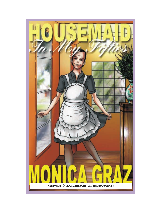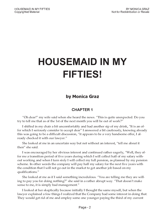# **HOUSEMAID IN MY FIFTIES!**

## by Monica Graz

### CHAPTER 1

"Oh dear!" my wife said when she heard the news. "This is quite unexpected. Do you try to tell me that as of the 1st of the next month you will be out of work?

I shifted in my chair a bit uncomfortably and had another sip of my drink, "It is an offer which I seriously consider to accept dear" I answered a bit cautiously, knowing already this was going to be a difficult discussion, "it appears to be a very handsome offer, I already checked it with our lawyer.

She looked at me in an uncertain way but not without an interest, "tell me about it then" she said.

I was encouraged by her obvious interest and continued rather eagerly, Well, they offer me a transition period of five years during which I will collect half of my salary without working and when I turn sixty I will collect my full pension, as planned by my pension scheme. In other words the company will pay half my salary for the next five years with the condition that I will not go out in the market to get another job based on my qualifications.

She looked at me as if I said something incredulous. "You are telling me they are willing to pay you for doing nothing?" she said in a rather abrupt way. "That doesn't make sense to me, it is simply bad management."

I looked at her skeptically because initially I thought the same myself, but when the lawyer explained a few things I realized that the Company had some interest in doing that. They would get rid of me and employ some one younger paying the third of my current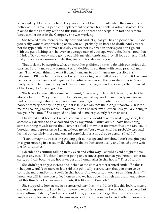senior salary. On the other hand they would benefit with tax cuts when they implement a policy of hiring young people in replacement of senior high ranking administrators. I explained that to Pam my wife and this time she appeared to accept it. In fact she remembered similar cases in the Company she was working.

She looked at me more seriously now and said, "I guess you have a point here. But do you really want to stop working at 55; you will probably be bored to death. And you are not the type with lots of male friends, you are not involved in sports, you don't go out with the guys fishing or whatever an average man of your age would do. In fact, now that I think of it, you enjoy more going out with my girlfriends and they all love you and think that you are a very unusual male, they feel comfortable with you.

That took me by surprise, what on earth her girlfriends have to do with our serious discussion. I didn't make any comment and I decided to continue with some practical matters. "I have been thinking what it actually means to our finances my possible early retirement. I'll lose half my income but you are doing very well at your job and if I remember correctly you are about to get a substantial salary raise. Then our daughter is 22 already earning her own money and there are no mortgages pending or any other financial obligations, don't you agree Pam?"

She looked at me with a renewed interest, "the way you talk Nick is as if you decided already to retire. Yes you are right I am doing well at my work I am already an associate partner receiving extra bonuses and I am about to get a substantial raise and yes our finances are very healthy. So yes again it is true we can face the change financially, but for me the challenge is elsewhere. In fact you didn't answer my question how you are going to use your free time." She stopped and looked at me expectantly for an answer.

I hesitated a bit because I wasn't certain how she would take my next suggestion, but somehow I decided to go ahead and speak my mind, "I must admit I have been doing some thinking myself about that. I am not a fool I know that too much free time can lead to boredom and depression so I want to keep myself busy with activities probably less intellectual but certainly more manual and beneficial for a middle age person's health."

"I can't imagine you starting playing golf at this age and somehow I can't imagine you in a gym running in a tread mill." She said that rather sarcastically and looked at me waiting for an answer.

I decided to continue talking in my even and calm way; I should avoid a fight at this stage at any cost. "No dear, I am not going to become a sport maniac you know it's not my style, but I can become the housekeeper and homemaker in this house." There I said it!

She didn't get angry; instead she looked at me with a rather ironical smile, "So this is what you want? You more or less said in a politically correct term that you want to become the maid and/or housewife in this house. Are you certain you are thinking clearly? I know you will tell me you enjoy housework, we have been through this argument before, but this time is not on an amateur basis, it is like a full time job."

She stopped to look at me in a concerned way this time, I didn't like this look, it meant she wasn't approving; I had to fight more to win this argument. I was about to answer but she continued talking, "and what about Linda, you seem to forget that for the last ten years we employ an excellent housekeeper and the house never looked better. I know she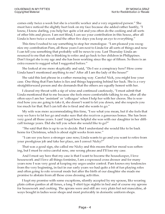comes only twice a week but she is a terrific worker and a very organized person." She must have noticed the slightly hurt look on my face because she added rather hastily, "I know, I know darling, you help her quite a lot and you often do the cooking and all sorts of other bits and pieces. I am not blind, I can see your contribution in this house, after all Linda is here twice a week and the other five days you keep an eye to everything.

This time I rushed to say something to stop her monologue. "I am pleased you recognize my contribution Pam, all those years I am next to Linda for all sorts of things and now I can tell you something that probably will be news to you. Last Thursday Linda announced to me that she is thinking to retire and go back to her children in Philippines. Don't forget she is my age and she has been working since the age of fifteen. So there is an extra reason to suggest what I suggested before."

She looked at me more skeptically and said, "Do I see a conspiracy here? How come Linda hasn't mentioned anything to me? After all I am the lady of the house!"

She said this last phrase in a rather menacing way. Careful Nick, you might lose your case. One thing that Pam hates is lies and things happening behind her back. She is a very straightforward person and she demands that the others are equally honest with her.

I cleared my throat with a sip of wine and continued cautiously, "I must admit that Linda mentioned that to me because she feels more comfortable talking to me, after all she often says I am her 'assistant' or 'colleague' when I help her with her chores. She is worried how you are going to take it, she doesn't want to let you down, and she respects you too much for that. But I can tell she is tired and she wants to go.

My wife was more accommodating this time, "I see what you mean, but if she feels that way we have to let her go and make sure that she receives a generous bonus. She has been very good all those years. I cant' forget how helpful she was with our daughter in her difficult teenage years. Did she tell you when she would like to go?

She said that this is up to us to decide. But I understand she would like to be back home for Christmas, which is about eight weeks from now."

I can see you have a stronger case now; Linda wants to go and you want to retire from your prestigious job and take her place, am I correct Nicky?

That was a good sign, she called me Nicky and this means that her mood was softening, but I must be extra careful now, one wrong phrase and I'll lose my case.

And I must say here that my case is that I want to become the housekeeper, I love housework and I love all things feminine, I am a repressed cross dresser and for many years now I was very good at keeping my urges under control. Pam knows my tendencies from the very beginning, in fact in our early years we had quite a bit of fun playing roles and often going to role reversal mode but after the birth of our daughter she made me promise to abstain from all those cross dressing activities.

I kept my promise with some exceptions, silently accepted by my spouse, like wearing plain cotton panties at all times, a long T-shirt type nightie in bed and of course my aprons for housework and cooking. The aprons were and still are very plain but not masculine, always bought in ladies wear shops and most preferably in domestic uniform shops.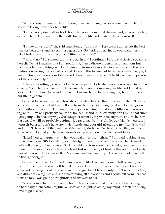"Are you day dreaming Nick? I thought we are having a serious conversation here." My wife brought me back to reality.

I am so sorry dear, all sorts of thoughts cross my mind at the moment, after all is a big decision to make, something that will change my life and by default yours as well."

"I know that stupid," she said impatiently, "this is why I try to sort things out the best way for both of us and ask all those questions. So, I ask you again, do you really want to take Linda's position and responsibilities in the house?"

"Yes and no," I answered cautiously again and I continued before she started speaking herself. What I mean is that I am not Linda, I am a different person and I am your husband, so obviously things will be different in terms of everyday interaction and other activities concerning my obligations and duties in this house, but to be frank with you, yes, I want to take up her responsibilities and do even more because I'll be like a 'live in' person, not the outside help.

"That's interesting", she remarked looking particularly sharp as she was examining me closely, "I can tell, you are quite determined to change course in your life and I must respect that, but I have to consider what that means to me to our daughter, to our friends to our life in general.

I rushed to answer to that before she could develop her thoughts any further, "I understand what you mean but I can tell you from the very beginning, no dramatic changes will be monitored in our life. I am not the only person being retired in my fifties with a working wife. They will probably call me a 'househusband' but I certainly don't mind that since I am going to be that anyway. Our daughter is not living with us anymore and in the coming year she will be probably getting a job far away from us. As for our friends, you said it yourself before, I don't have any male friends and your girl friends are my friends as well and I don't think at all they will be critical of my decision. On the contrary they will consider you lucky that you have someone looking after you on a permanent basis."

"Jesus! You can argue well when you really want something," Pam said looking at me rather tired now. "It's late Nick, past midnight, I am exhausted after a very hectic week. Let's call it a night. I will sleep with it tonight and tomorrow it's Saturday and we can continue our discussion over a leisurely breakfast with plenty of fresh coffee and those lovely pancakes you make occasionally." She came and gave me a quick kiss and said, "I am off to bed, goodnight.

I stayed behind a bit stunned. Pam was a bit like that, one moment full of energy and the next one exhausted and off to bed. I decided to finish my wine relaxing a bit on my own and thinking about the conversation we just had. She certainly didn't reject my ideas; she didn't say a big 'no' and she was thinking all the options and I could tell form her reactions so far, I was giving straightforward answers to her.

When I joined her in bed half an hour later she was already fast asleep. I was lying next to her in my plain cotton nightie, all sorts of thoughts crossing my mind. It took me a long time to go to sleep.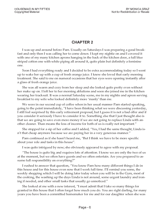### CHAPTER 2

I was up and around before Pam. Usually on Saturdays I was preparing a good breakfast and only then I was calling her to come down. I kept my nightie on and I covered it with one of my many kitchen aprons hanging in the back of the kitchen door, a full blue striped cotton one with white piping all around it, quite plain but definitely a feminine one.

Soon I had everything ready and I decided to be extra accommodating today so I went up to wake her up with a cup of fresh orange juice. I knew she loved that early morning treatment. She said to me on numeral occasions that her eyes were opening instantly after a glass of fresh orange juice.

She was all warm and cozy from her sleep and she looked quite pretty even without her make up on. I left her to her morning ablutions and soon she joined me in the kitchen wearing her tracksuit. It was a normal Saturday scene, me in my nightie and apron serving breakfast to my wife who looked definitely more 'manly' than me.

We were in our second cup of coffee when in her usual manner Pam started speaking, going to the point immediately, "I have been thinking what we were discussing yesterday, I still feel surprised by this early retirement proposal, but I guess it is not a bad offer and if you consider it seriously I have to consider it to. Something else that I just thought also is that we are going to save even more money if we are not going to replace Linda with another cleaner. Than means the loss of income for both of us is really not important.

She stopped for a sip of her coffee and I added, "Yes, I had the same thought, Linda isn't that cheap anymore because we are paying her in a very generous manner."

Pam continued as if she hasn't heard me, "But I think we have to be more specific about your role and tasks in this house".

I was quite intrigued by now; she obviously appeared to agree with my proposal.

The house is quite big and requires lots of attention. I know we are only the two of us at the moment, but we often have guests and we often entertain. Are you prepared to assume full responsibility on everything?"

I rushed to answer that question, You know Pam how many different things I do in this house and for this house even now that I work full time. I'll remind you some, the weekly shopping which I will be doing later today when you will be in the Gym, most of the cooking, the washing up the days Linda is not around, some urgent laundry and ironing if needed, and other small tasks that usually go unnoticed.

She looked at me with a new interest,  $\alpha$  must admit that I take so many things for granted in this house that I often forget how much you do. You are right darling, for many years you have been a committed homemaker for me and for our daughter when she was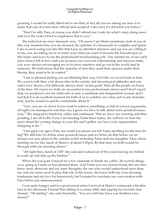growing, I would be really blind not to see that, in fact all you are asking me now is to make that role of yours more official and accepted. I am sorry if I offended you before."

"Don't be silly Pam, of course you didn't offend me, I only do what I enjoy doing more and over the years I tried to emphasize that to you.

She looked at me more intensely now, "Of course I am blind sometimes, look at you at this very moment how you are dressed, the epitome of a housewife in a nightie and apron. I am so used seeing you like this that I pay no attention anymore and yet you are yelling it to me, you are telling me in so many ways that you want to become the housekeeper in this home and leave to me the professional breadwinning role. You remind me of our early days when I fell in love with you because you were not a threatening and insecure male; you were always encouraging me to be more assertive and go out in the world and be someone. We both know that the majority of men they want their spouses under their thump, they want to be in control.

I am so pleased darling you are thinking that way, I feel like we revert back in time. We used to talk then a lot about roles in the society and stereotypical attitudes and you and I were always a bit different, always more 'avant garde' than all the people we knew at the time. Of course we both are successful in our professional careers and I don't regret that, we produced a lovely child who is now a confident and independent woman and I feel that it is an excellent moment for both of us to redefine our roles, not in any dramatic way, just be ourselves and be comfortable about it."

You!, you are so clever if you want to achieve something, so full of correct arguments; all right you managed to convince me, I guess we have to talk about some practical issues now." She stopped to finish her coffee and continued, "But we have our morning activities pending, I am off to the Gym, I am meeting Tania there today, she will love to hear the news about the coming change in your life and I gather you have your supermarket shopping to do.

"I am glad you agree Pam, but could you please not tell Tania anything for the time being? We still have to define some practical issues and we better do that before we announce our new plans to the outside world including Tania and our daughter. How about meeting me for late lunch at Mario's at about 2.00pm. By that time we both would be through with our morning chores.

"All right then, lunch at 2.00" she said and rushed out of the room leaving me behind to wash up and tidy up the kitchen.

When she was gone I stayed for a few moments to finish my coffee, all excited; things were going as I more or less planned them. And Tania was our closest friend, the one who knew more about me and my inner thoughts, the one who would understand more than my wife my inner need to play that role in the house, she knew both my cross dressing tendencies and my love for housework, but I wanted to conclude our conversation with Pam before any announcement.

I was quite hungry and in a great mood when I arrived at Mario's restaurant a bit after two in the afternoon. I found Pam sitting in a corner table and sipping her favorite chardonnay. "Hi darling", she said cheerfully, "You are a bit late, have you finished your chores?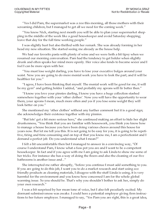Yes I did Pam, the supermarket was a zoo this morning, all those mothers with their screaming children, but I managed to get all we need for the coming week.

You know Nick, starting next month you will be able to plan your supermarket shopping in the middle of the week like a good housekeeper and avoid Saturday shopping; leave that day for the full time working people."

I was slightly hurt but also thrilled with her remark. She was already forming in her head my new situation. She started seeing me already as the house help.

We had our favorite pasta with plenty of wine and we were both a bit tipsy when we resumed our morning conversation. Pam had the tendency to get bolder when slightly drunk and often speaks her mind more openly. Her voice also tends to become sexier and I feel I can be more open with her.

You must lose weight darling, you have to lose your executive bulges around your waist. Now you are going to do more menial work you have to look the part; and it will be healthier for you.

I agree, I have been thinking that myself. The menial work will be good for me, it will be my gym" and getting bolder I added, "and probably my aprons will fir better then."

I know you love your pinnies darling, I know you have a huge collection stashed somewhere together with your 'other clothes'. Now you will have the opportunity to wear them, your aprons I mean, much more often and yes if you lose some weight they will look better on you."

She mentioned my 'other clothes' without any further comment but it is a good sign; she acknowledges their existence together with my pinnies.

"But lets' get a bit more serious here," she continued making an effort to hide her slight drunkenness, "You think that you are familiar with housework, you think you know how to manage a house because you have been doing various chores around this house for years now. But let me tell you this. It is not going to be easy for you, it is going to be repetitive, tiring and time consuming and on top of that you know me, I am a perfectionist and I demand a perfect job. Do you understand what I mean?

I felt a bit uncomfortable then but I managed to answer in a convincing way, "Of course I understand Pam, I know what a fuss pot you are and I want to be a competent housekeeper. In fact and if you agree with me I am going to ask Linda to show me some of her tricks. For instance she has a way of doing the floors and also the cleaning of our five bathrooms is another issue and..."

She interrupted me rather abruptly, "before you continue I must add something to you. If you are going to do this job, I want you to do a market research and start using eco friendly products as cleaning materials, I disagree with the stuff Linda is using, it is very harmful for the environment and you know how concerned I am for the whole global warming issue. So you should be. That's why you shouldn't bother to ask her, simply do your own research.

I was a bit surprised by her mean tone of voice, but I also felt peculiarly excited. My dormant submissiveness was awake. I could here a potential employer giving firm instructions to her future employee. I managed to say, "Yes Pam you are right, this is a great idea,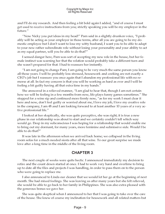and I'll do my research. And then feeling a bit bold again I added, "and of course I must get used to receive instructions from you; strictly speaking you will be my employer in the future.

"Now Nicky you put ideas in my head!" Pam said in a slightly drunken voice, "I probably will be acting as your employer in those terms, after all you are going to be my domestic employee but I don't want to lose my witty husband, I want you to be able to adapt to your new rather subordinate role without losing your personality and your ability to act as my equal partner, will you be able to do that?

I sensed danger here, Pam was sort of accepting my new role in the house, but her female instinct was warning her that the relation would probably take a different turn and she wasn't prepared for that. I had to reassure her instantly.

I am not going to change Pam; I am going to be very much the same person you know all those years. I will be probably less stressed, housework and cooking are not exactly a CEO's job but I reassure you once again that I abandon my professional life with no remorse at all. In fact my concern is that you will be working as hard as ever and I will be feeling a bit guilty having all that extra time in my hands.

She answered in a relieved manner, "I am glad to hear that, though I am not certain how we will be feeling in a few months from now, life plays funny games sometimes." She stopped for a wine sip and continued more firmly now, "as for my work I must clear it here and now, don't feel guilty or worried about me, I love my job, I love my creative role in the company, I am 48 and I am looking forward to at least another 10 years of a very active professional life."

I looked at her skeptically, she was quite perceptive, she was right; it is true a new phase in our relationship was about to start and we certainly couldn't tell which way would go. Deep in my subconscious I was hoping for a relationship that would enable me to bring out my dormant, for many years, more feminine and submissive side. Would I be able to do that?

It was late in the afternoon when we arrived back home; we collapsed in the living room sofas for a much needed siesta after all that wine. To our great surprise we made love after a long time in the middle of the living room.

### CHAPTER 3

The next couple of weeks were quite hectic. I announced immediately my decision to retire and the count down started at once. I had to work very hard and overtime to bring up to date all the files and projects I was handling, in order to pass them on to the person who were going to replace me.

I also announced to Linda our cleaner that we would let her go at the beginning of next month. She had mixed feelings. She was leaving us after many years but she felt relieved, she would be able to go back to her family in Philippines. She was also extra pleased with the generous bonus we gave her.

She was quite skeptical when I announced to her that I was going to take over the care of the house. She knew of course my inclination for housework and all related matters but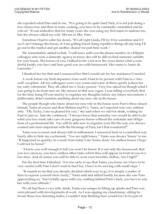she repeated what Pam said to me, "It is going to be quite hard Nick, it is not just doing a few chores now and then or some cooking, you have to be constantly committed and involved." It was indicative that for many years she was using my first name to address me, but she always called my wife 'Ma'am or Mrs. Pam'.

Somehow I had to calm her down, "It's all right Linda, I'll try it for sometime and if I see I can't manage the house, or I am getting bored doing repetitive things all day long I'll go out in the market and get another cleaner for part time work.

She immediately added to that, "I will leave with you the phone number of a Filipino colleague who runs a domestic agency in town; she will be able to find someone suitable for your house. She knows of you, I talked to her a lot over the years about what a wonderful family you have and how good you are with housework. Her name is Annie de Laurentis."

I thanked her for that and I reassured her that I would ask for her assistance if needed.

A week before my final departure from work I had to be present with Pam to a 'farewell' reception. All my colleagues were very warm and some of them openly jealous for my early retirement. They all called me a 'lucky person'. Very few asked me though what I was going to do from now on. My answer to that was vague. I was telling everybody that for the time being I'll rest and try to organize my thoughts before any future movements. I deliberately didn't mention anything about my new role in the house.

The people though who knew about my new role in the house were Pam's three closest friends, Tania of course and then Melissa and Eva. Tania, as I expected was very enthusiastic. "Oh, Nicky, I am so pleased for you," she said when we met for drink, waiting for Pam to join us. And she continued, "I always knew that someday you would be able to do what you love most, take care of your gorgeous house without the restraints and obligations of a professional life. You will be able now to organize your life the way you always wanted and more important with the blessings of Pam; isn't that wonderful?"

Tania was so sweet and always full of enthusiasm. I answered back in a controlled way barely able to hide my excitement, "You are right honey." Tania was always 'honey' to me. "It happened so quickly; in a week from today I am 'home alone' for endless hours; I hope I will not be bored.

"I know you well enough to tell you won't be bored. It is not only the housework that you love anyway, you have endless other tasks which they will appear in front of you in a few days. And of course you will be able to wear your favorites clothes, Am I right?

For the first time I blushed, "it is too early to say that Tania, you know me I have to be very careful with Pam I don't want to hurt her, I have to be moving with small steps."

It sounds to me that you already decided which way to go, it is simply a matter of time to express yourself more freely," Tania said and added hastily because she saw Pam approaching us, "but I totally agree with you, nothing behind Pam's back, you have to win her with your attitude.

We all had then a very jolly drink, Tania was unique in lifting up spirits and Pam was extra pleased with developments at work. As I was sipping my chardonnay, sitting between those two charming ladies, I couldn't stop thinking how would love to be part of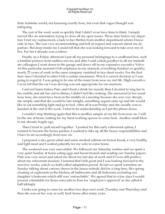their feminine world, not knowing exactly how, but even that vague thought was intriguing.

The rest of the week went so quickly that I didn't even have time to think. I simply moved like an automaton, trying to close all my open issues. Three days before my departure I met my replacement, a lady in her thirties from another department whom I knew only in face. She was very accommodating and full of respect and concern about my departure. But deep inside me I could tell that she was looking forward to take over my office. For her I already was a retiree.

Finally on a Friday afternoon I put all my personal belongings to a cardboard box, such a familiar pictures from endless movies and after I said a final goodbye to all my immediate colleagues I went down to the garage and drove off in my expensive executive Volvo. At this particular moment I felt emptiness in my stomach, everything finished so quickly; nearly 25 years of work in the same company vanished in two short weeks. For the first time since I decided to retire I felt a certain uneasiness. Was it a correct decision or I was going to regret it. I was going to be one of the many from now on, not Mr. High executive. I even felt that the car I was driving was not appropriate for me anymore.

I arrived home before Pam and I fixed a drink for myself, then I decided to ring her in her mobile and ask her out to dinner, I didn't feel like cooking. She answered in her usual busy tone, she must have been in the middle of a meeting because she was very abrupt, she simply said that she would be late tonight, something urgent came up and she would like to eat something light and go to bed. After all it was Friday and she usually was exhausted at the end of the week. I tried to be understanding as I put the phone down.

I couldn't stop thinking again that this is another sample of my life from now on. I will be the one at home waiting for my hard working spouse to come back. Another small blow to my already fragile ego.

Then I tried to 'pull myself together'. I pushed for this early retirement option, I wanted to become the house partner, I wanted to take up all the house responsibilities and I have to act accordingly from now on.

I prepared a nice green salad and some smoked salmon on brown bread, a very healthy and light meal and I waited patiently for my wife to come home.

The weekend was very uneventful. We followed our Saturday routine and we spent a very quiet Sunday at home eating eggs and bacon brunch and reading our Sunday papers. Pam was very sweet and asked me about my last day at work and if I was still positive about my retirement decision. I insisted that I felt great and I was looking forward to the next few weeks, which we both called adaptation period. In fact we spent sometime on Sunday talking about various chores in the house nobody did for a long time, like spring cleaning of cupboards in the kitchen, all bathrooms and all bedrooms excluding our daughter's bedroom which still was 'untouchable'. We agreed that in a few days I would present a timetable for those extra jobs to Pam for 'employer's approval' as she called it half jokingly.

Linda was going to come for another two days next week (Tuesday and Thursday) and then she was on her way as well, back home after many years.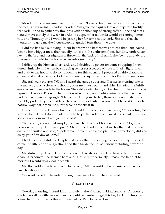Monday was an unusual day for me; I haven't stayed home in a weekday in years and the feeling was weird, in particular after Pam gave me a quick kiss and departed hastily for work. I tried to gather my thoughts with another cup of strong coffee. I decided that I would move slowly this week in order to adapt. After all Linda would be coming tomorrow and Thursday and I would be joining her for some housework. She said that she would try to give me the 'housekeeping' guided tour those two days.

I did the basics like tidying up our bedroom and bathroom; I noticed that Pam leaved behind her a bigger mess than usually, towels in the bathroom floor, her dirty underwear next to the bed and her nightdress thrown in the back of a chair. Is she feeling already the presence of a maid in the house, even subconsciously?

I tidied up the kitchen afterwards and I decided to go out for some shopping. I wondered aimlessly in the nearby shopping center for a couple of hours, I had a light lunch and back to the house to do some cooking for this evening. I prepared a fairly elaborate dinner and at about 6.00 o'clock I sat down to a cup of tea waiting for Pam to come home.

She arrived a bit after 7.00pm. I heard the garage door and I let her in wearing one of my many aprons, a clean one though, over my house pants and shirt. I wanted to slightly emphasize my new role in the house. She said a quick hello, kicked her high heels and collapsed in the sofa. Knowing her I followed with a glass of white wine. She thanked me, had a sip and gave a big sigh, "My feet are killing me today, those shoes are quite uncomfortable, probably you could learn to give me a foot rub occasionally." She said it in such a natural way that it took me a few seconds to take it in.

I was quite excited from what I heard and I answered spontaneously, "Yes, darling, I'd love to do that and I don't think I have to be particularly experienced, I guess all I need is some proper ointment and gentle hands."

"Not really, it's not that simple, you have to do a bit of homework there, I'll get you a book on that subject, do you agree?" She stopped and looked at me for the first time seriously. She smiled and said, "Look at you in your pinny, the picture of domesticity, did you enjoy your first day at home?

I told her what I did and I explained to her that I was going to move slowly this week, catch up with Linda's suggestions and then tackle the house seriously starting next Monday.

She didn't object to that, but she repeated that she expected me to search for organic cleaning products. She seemed to take this issue quite seriously. I reassured her that tomorrow I would do a Google search.

She then added with an edge in her voice, "All of a sudden I am famished what we have for dinner?

We went to bed quite early that night, we were both quite exhausted.

### CHAPTER 4

Tuesday morning I found Linda already in the kitchen, making breakfast. As usually she let herself in with her own key. I should remember to get this key back on Thursday. I joined her for a cup of coffee and I waited for Pam to come down.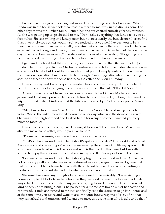Pam said a quick good morning and moved to the dining room for breakfast. When Linda was in the house we took breakfast in a more formal way in the dining room. The other days it was the kitchen table. I joined her and we chatted amicably for ten minutes. As she was getting up to go she said to me, "Don't take everything that Linda tells you at face value. She is a willing and kind person but not necessarily the best cleaner. I often find dust in very obvious places, you must have noticed that yourself. I expect you to be a much better cleaner than her; after all you claim that you enjoy that sort of work. She is an excellent ironer though and there you will need some coaching from her, ask her on Thursday when she does her ironing." She stopped and looked at her watch, "It's getting late, I better go, good bye darling." And she left before I had the chance to answer.

I gathered the breakfast things in a tray and moved them to the kitchen. I had to join Linda in her morning activities. She had a routine and she didn't like to deviate as she was a creature of habits, but I couldn't do much at that point. I simply watched her and asked the occasional question. I mentioned to her though Pam's suggestion about an 'ironing lesson'. She agreed to show me some tricks, as she called them, on Thursday.

It was midday and I was preparing sandwiches and coffee for a quick lunch when I heard the front door bell ringing, then Linda's voice form the hall, "I'll get it Nicky."

A few moments later I heard voices coming towards the kitchen. My hands were greasy and I had my apron on. Not enough time to react. I turned grabbing a tea towel to wipe my hands when Linda entered the kitchen followed by a 'petite' very pretty Asian lady.

May I introduce to you Miss Annie de Laurentis Nicky? She said using her polite voice, "She is the lady I mentioned to you the other day who runs the domestic agency. She was in the neighborhood and I asked her in for a cup of coffee. I wanted you very much to meet her.

I was taken completely off guard. I managed to say a "Nice to meet you Miss, I am about to make some coffee, would you like some?"

"Please call me Annie; yes please I would love some coffee."

""Let's sit here around the kitchen table it's quite comfortable" Linda said and offered Annie a seat and she sat opposite leaving me making the coffee still with my apron on. For a moment I wondered who is the boss and who is the maid in that case, but I secretly started to enjoy this encounter, the first one in my so called 'new position' in the house.

Soon we all sat around the kitchen table sipping our coffee. I realized that Annie was not only very pretty but also impeccably dressed in a very elegant manner. I guessed at that moment that her job was to deal with the rich and famous if she was providing domestic staff for them and she had to be always dressed accordingly.

She must have read my thoughts because she said quite amicably, "I was visiting a house a couple of blocks from here because they were asking me for a live in maid. I always check the premises of where my girls are going to work. I want to be certain what kind of people are hiring them." She paused for a moment to have a sip of her coffee and continued, "Linda announced to me that she finally took the decision to go back home and at the same time you retire and want to assume some house responsibilities, I find that very remarkable and unusual and I wanted to meet this brave man who is able to do that.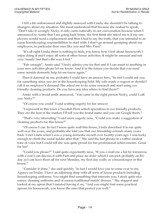I felt a bit embarrassed and slightly annoyed with Linda, she shouldn't be talking to strangers about my situation. She must understood that because she rushed to speak, "Don't take it wrongly Nicky, it only came naturally in our conversation because when I announced to Annie that I am going back home, the first think she asked me is if my employers would need a replacement and then I had to say the truth, that you intended to assume housekeeping responsibilities to start with. I don't go around gossiping about my employers, in particular dear ones like you and Mrs. Pam".

"It's all right Linda, there is nothing to hide, you know how I feel about housework I enjoy doing it and I enjoy all sorts of other house activities. It might be unusual and not very 'manly' but that's the way I feel."

"Fair enough", Annie said "I truly admire you for that and if I can assist to anything in your new activities please let me know. And if in the future you decide that you need some outside domestic help let me know again.

Then it dawned on me, probably I could have an answer here, "In fact I could ask you for something since you are in the housekeeping field. My wife made a request or should I call it an employer's demand. She asked me to do some research and start using eco friendly cleaning products. Do you have any idea where to find them?

Annie with a broad smile answered, You came to the right person Nicky, could I call you Nicky?

"Of course you could" I said waiting eagerly for her answer.

I represent in this town a Swedish Firm which specializes in eco friendly products. They are the best in the market, I'll tell you the brand name and you can Google them."

"That's very interesting" I said more eagerly now, "Could you make a suggestion of cleaning products for this house?

Of course I can. In fact I know quite well this house, Linda described it to me quite well over the years, and probably she told you that our friendship extends many years back. I met Linda when I was a young domestic myself over twenty years ago. I was lucky enough to climb the social ladder after that." She said the last phrase in a rather modest tone of voice but I could tell she was quite proud for her professional achievements. Good for her!

"Could you please?" I said quite expectantly now, "If you e-mail me a list by tomorrow with a cost I can discuss it with Pam and place an order which I can pick probably on Friday so I can have them all for next Monday, my first day really as a housekeeper in this house.

"Consider it done," she said quickly "in fact I would love you to come over to my Agency on Friday. I have an adjoining shop with all sorts of house products including housekeeping uniforms. You might find something that interests you, I stock quite nice unisex cleaning uniforms and of course traditional maids' dresses." She stopped and looked at my apron that I insisted having it on, "And you might find some practical aprons for housework, you know the ones that protect you well.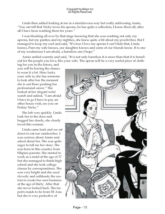Linda then added looking at me in a mischievous way but really addressing Annie, You can tell that Nicky loves his aprons, he has quite a collection, I know them all, after all I have been washing them for years.

I was blushing all over by that stage knowing that she was washing not only my aprons, but my panties and my nighties, she knew quite a bit about my proclivities. But I managed to keep my cool and said, "It's true I love my aprons I can't hide that, Linda knows, Pam my wife knows, our daughter knows and some of our friends know. It is one of my weaknesses I am afraid, a harmless one I hope.

Annie smiled warmly and said, "It is not only harmless it is more than that it is beneficial for the people you love, like your wife. The apron will be a very useful piece of cloth-

ing for you in the future, and you will be having the chance to wear it a lot. How lucky your wife is; she has someone to look after her the moment she is out there pushing her professional career." She looked at her elegant wrist watch and added, "I am afraid I have to go I have to pay another house visit, see you on Friday Nicky.

She left very quickly. Linda took her to the door and hugged her dearly, she clearly loved this woman.

Linda came back and we sat down to eat our sandwiches. I was curious about Annie and asked about her. She was quite eager to tell me her story. She was born in this country from Filipino parents. She started to work as a maid at the age of 17 but she managed to finish high school and she took college classes by correspondence. She was very bright and she used cleverly and ruthlessly the system to create her own business at the age of thirty. After that she never looked back. She imports maids to be from SE Asia but she is very protective of